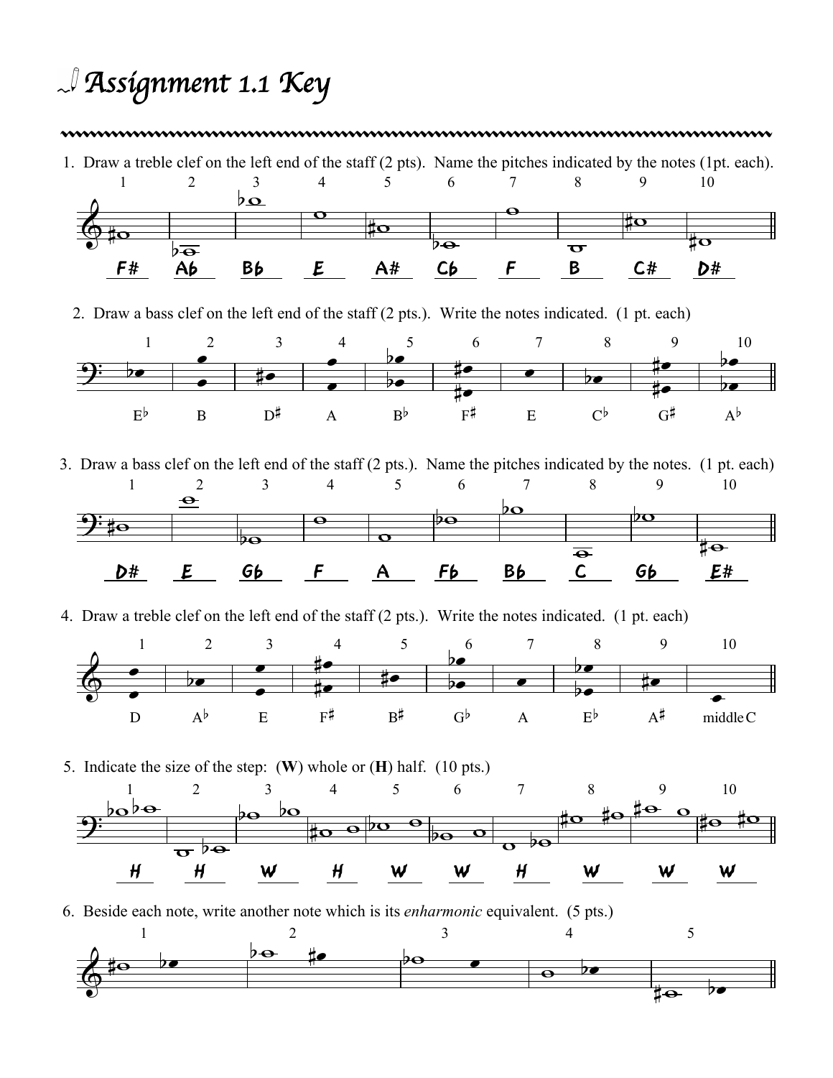## *Assignment 1.1 Key*

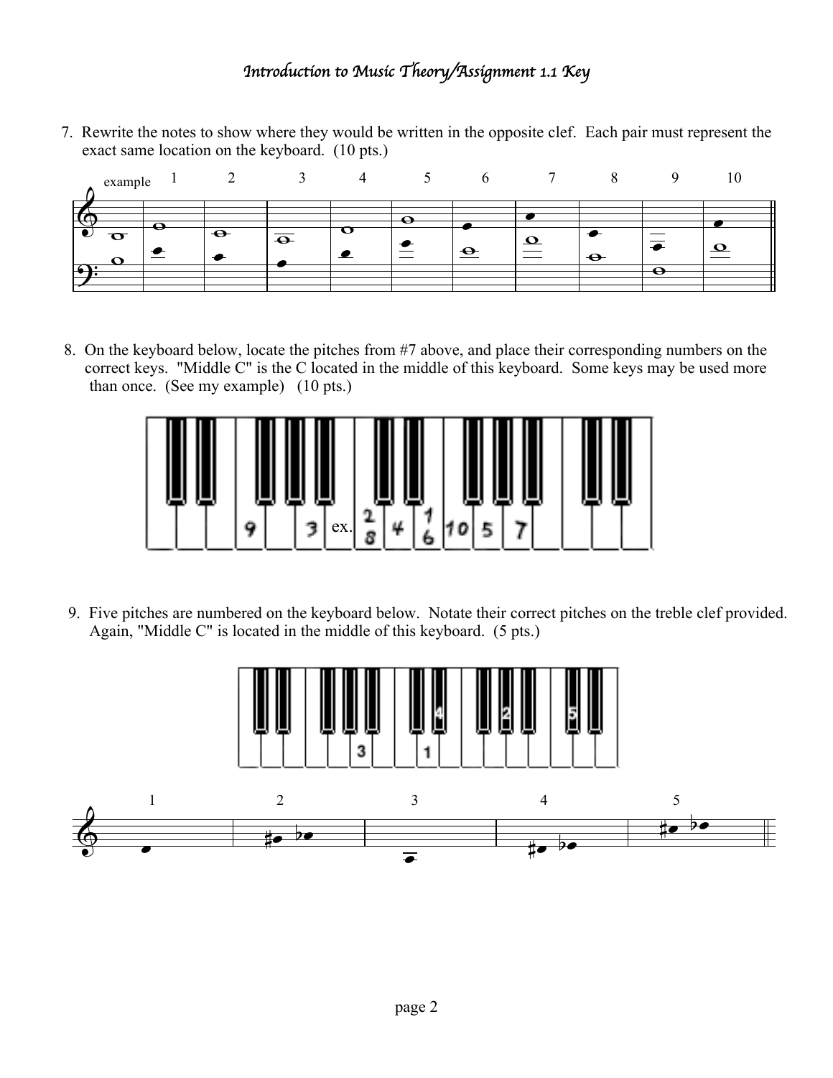## *Introduction to Music Theory/Assignment 1.1 Key*

7. Rewrite the notes to show where they would be written in the opposite clef. Each pair must represent the exact same location on the keyboard. (10 pts.)



8. On the keyboard below, locate the pitches from #7 above, and place their corresponding numbers on the correct keys. "Middle C" is the C located in the middle of this keyboard. Some keys may be used more than once. (See my example) (10 pts.)



9. Five pitches are numbered on the keyboard below. Notate their correct pitches on the treble clef provided. Again, "Middle C" is located in the middle of this keyboard. (5 pts.)